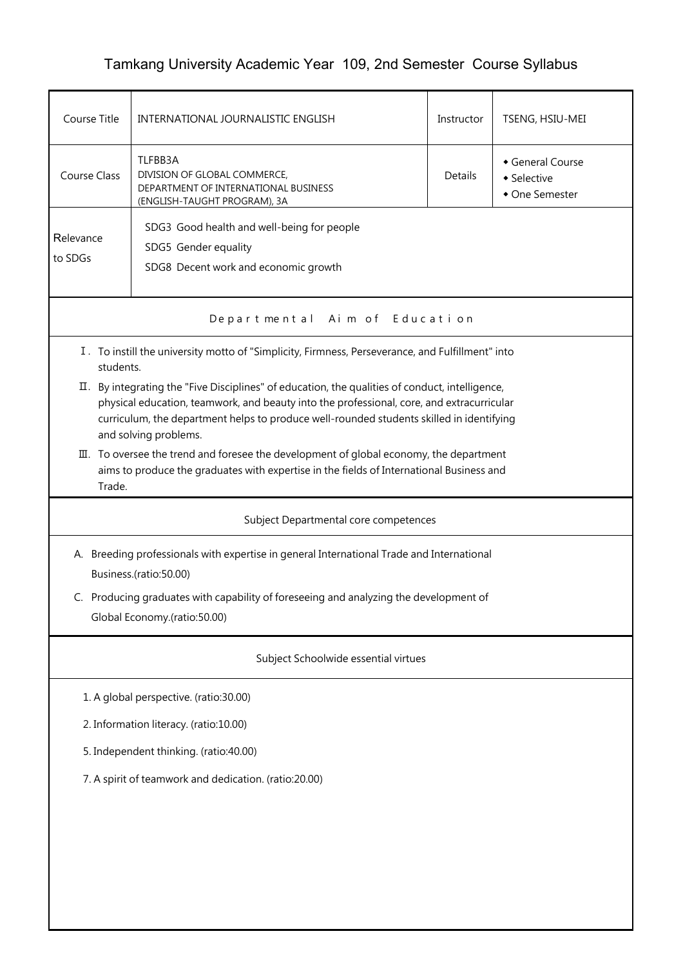## Tamkang University Academic Year 109, 2nd Semester Course Syllabus

| Course Title                                                                                                                                                                                                                                                                                                      | INTERNATIONAL JOURNALISTIC ENGLISH                                                                                                                                                  |         | TSENG, HSIU-MEI                                 |  |  |  |
|-------------------------------------------------------------------------------------------------------------------------------------------------------------------------------------------------------------------------------------------------------------------------------------------------------------------|-------------------------------------------------------------------------------------------------------------------------------------------------------------------------------------|---------|-------------------------------------------------|--|--|--|
| <b>Course Class</b>                                                                                                                                                                                                                                                                                               | TLFBB3A<br>DIVISION OF GLOBAL COMMERCE,<br>DEPARTMENT OF INTERNATIONAL BUSINESS<br>(ENGLISH-TAUGHT PROGRAM), 3A                                                                     | Details | General Course<br>• Selective<br>• One Semester |  |  |  |
| Relevance<br>to SDGs                                                                                                                                                                                                                                                                                              | SDG3 Good health and well-being for people<br>SDG5 Gender equality<br>SDG8 Decent work and economic growth                                                                          |         |                                                 |  |  |  |
|                                                                                                                                                                                                                                                                                                                   | Departmental Aim of Education                                                                                                                                                       |         |                                                 |  |  |  |
| students.                                                                                                                                                                                                                                                                                                         | I. To instill the university motto of "Simplicity, Firmness, Perseverance, and Fulfillment" into                                                                                    |         |                                                 |  |  |  |
| II. By integrating the "Five Disciplines" of education, the qualities of conduct, intelligence,<br>physical education, teamwork, and beauty into the professional, core, and extracurricular<br>curriculum, the department helps to produce well-rounded students skilled in identifying<br>and solving problems. |                                                                                                                                                                                     |         |                                                 |  |  |  |
| Trade.                                                                                                                                                                                                                                                                                                            | III. To oversee the trend and foresee the development of global economy, the department<br>aims to produce the graduates with expertise in the fields of International Business and |         |                                                 |  |  |  |
| Subject Departmental core competences                                                                                                                                                                                                                                                                             |                                                                                                                                                                                     |         |                                                 |  |  |  |
| A. Breeding professionals with expertise in general International Trade and International<br>Business.(ratio:50.00)                                                                                                                                                                                               |                                                                                                                                                                                     |         |                                                 |  |  |  |
| C. Producing graduates with capability of foreseeing and analyzing the development of<br>Global Economy.(ratio:50.00)                                                                                                                                                                                             |                                                                                                                                                                                     |         |                                                 |  |  |  |
| Subject Schoolwide essential virtues                                                                                                                                                                                                                                                                              |                                                                                                                                                                                     |         |                                                 |  |  |  |
| 1. A global perspective. (ratio:30.00)                                                                                                                                                                                                                                                                            |                                                                                                                                                                                     |         |                                                 |  |  |  |
| 2. Information literacy. (ratio:10.00)                                                                                                                                                                                                                                                                            |                                                                                                                                                                                     |         |                                                 |  |  |  |
| 5. Independent thinking. (ratio:40.00)                                                                                                                                                                                                                                                                            |                                                                                                                                                                                     |         |                                                 |  |  |  |
| 7. A spirit of teamwork and dedication. (ratio:20.00)                                                                                                                                                                                                                                                             |                                                                                                                                                                                     |         |                                                 |  |  |  |
|                                                                                                                                                                                                                                                                                                                   |                                                                                                                                                                                     |         |                                                 |  |  |  |
|                                                                                                                                                                                                                                                                                                                   |                                                                                                                                                                                     |         |                                                 |  |  |  |
|                                                                                                                                                                                                                                                                                                                   |                                                                                                                                                                                     |         |                                                 |  |  |  |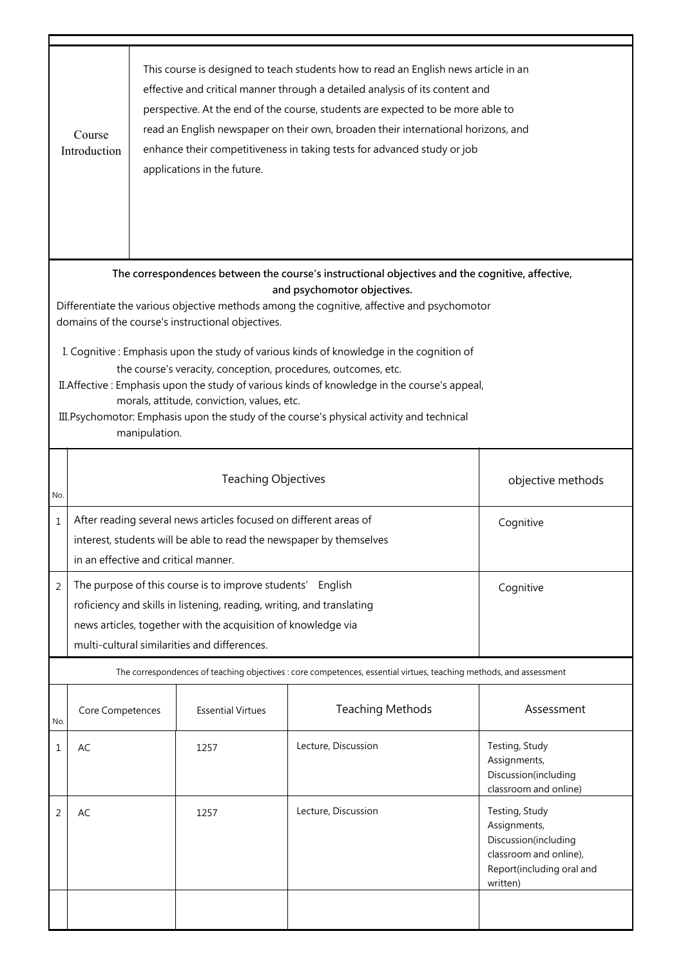|                                                                                                                                                                                                                                                                                                                                                                                                                                                                                                                                                                                                                                                                                                           | This course is designed to teach students how to read an English news article in an<br>effective and critical manner through a detailed analysis of its content and<br>perspective. At the end of the course, students are expected to be more able to<br>read an English newspaper on their own, broaden their international horizons, and<br>Course<br>enhance their competitiveness in taking tests for advanced study or job<br>Introduction<br>applications in the future. |                                                                                                                                                                                                                                                                      |                            |                                                                                                                    |                                                                                                                           |  |
|-----------------------------------------------------------------------------------------------------------------------------------------------------------------------------------------------------------------------------------------------------------------------------------------------------------------------------------------------------------------------------------------------------------------------------------------------------------------------------------------------------------------------------------------------------------------------------------------------------------------------------------------------------------------------------------------------------------|---------------------------------------------------------------------------------------------------------------------------------------------------------------------------------------------------------------------------------------------------------------------------------------------------------------------------------------------------------------------------------------------------------------------------------------------------------------------------------|----------------------------------------------------------------------------------------------------------------------------------------------------------------------------------------------------------------------------------------------------------------------|----------------------------|--------------------------------------------------------------------------------------------------------------------|---------------------------------------------------------------------------------------------------------------------------|--|
| The correspondences between the course's instructional objectives and the cognitive, affective,<br>and psychomotor objectives.<br>Differentiate the various objective methods among the cognitive, affective and psychomotor<br>domains of the course's instructional objectives.<br>I. Cognitive: Emphasis upon the study of various kinds of knowledge in the cognition of<br>the course's veracity, conception, procedures, outcomes, etc.<br>II. Affective: Emphasis upon the study of various kinds of knowledge in the course's appeal,<br>morals, attitude, conviction, values, etc.<br>III. Psychomotor: Emphasis upon the study of the course's physical activity and technical<br>manipulation. |                                                                                                                                                                                                                                                                                                                                                                                                                                                                                 |                                                                                                                                                                                                                                                                      |                            |                                                                                                                    |                                                                                                                           |  |
| No.                                                                                                                                                                                                                                                                                                                                                                                                                                                                                                                                                                                                                                                                                                       |                                                                                                                                                                                                                                                                                                                                                                                                                                                                                 |                                                                                                                                                                                                                                                                      | <b>Teaching Objectives</b> |                                                                                                                    | objective methods                                                                                                         |  |
| $\mathbf{1}$                                                                                                                                                                                                                                                                                                                                                                                                                                                                                                                                                                                                                                                                                              |                                                                                                                                                                                                                                                                                                                                                                                                                                                                                 | After reading several news articles focused on different areas of<br>Cognitive<br>interest, students will be able to read the newspaper by themselves<br>in an effective and critical manner.                                                                        |                            |                                                                                                                    |                                                                                                                           |  |
| 2                                                                                                                                                                                                                                                                                                                                                                                                                                                                                                                                                                                                                                                                                                         |                                                                                                                                                                                                                                                                                                                                                                                                                                                                                 | The purpose of this course is to improve students'<br>English<br>Cognitive<br>roficiency and skills in listening, reading, writing, and translating<br>news articles, together with the acquisition of knowledge via<br>multi-cultural similarities and differences. |                            |                                                                                                                    |                                                                                                                           |  |
|                                                                                                                                                                                                                                                                                                                                                                                                                                                                                                                                                                                                                                                                                                           |                                                                                                                                                                                                                                                                                                                                                                                                                                                                                 |                                                                                                                                                                                                                                                                      |                            | The correspondences of teaching objectives : core competences, essential virtues, teaching methods, and assessment |                                                                                                                           |  |
| No.                                                                                                                                                                                                                                                                                                                                                                                                                                                                                                                                                                                                                                                                                                       | Core Competences                                                                                                                                                                                                                                                                                                                                                                                                                                                                |                                                                                                                                                                                                                                                                      | <b>Essential Virtues</b>   | <b>Teaching Methods</b>                                                                                            | Assessment                                                                                                                |  |
| 1                                                                                                                                                                                                                                                                                                                                                                                                                                                                                                                                                                                                                                                                                                         | AC                                                                                                                                                                                                                                                                                                                                                                                                                                                                              |                                                                                                                                                                                                                                                                      | 1257                       | Lecture, Discussion                                                                                                | Testing, Study<br>Assignments,<br>Discussion(including<br>classroom and online)                                           |  |
| 2                                                                                                                                                                                                                                                                                                                                                                                                                                                                                                                                                                                                                                                                                                         | AC                                                                                                                                                                                                                                                                                                                                                                                                                                                                              |                                                                                                                                                                                                                                                                      | 1257                       | Lecture, Discussion                                                                                                | Testing, Study<br>Assignments,<br>Discussion(including<br>classroom and online),<br>Report(including oral and<br>written) |  |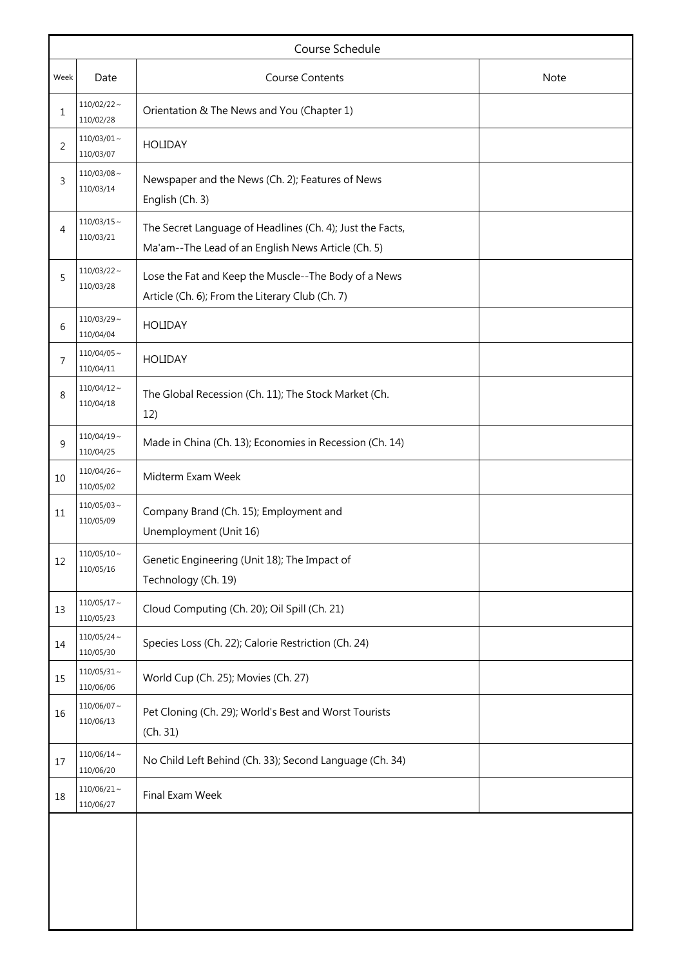|      | Course Schedule                |                                                                                                                 |             |  |  |  |
|------|--------------------------------|-----------------------------------------------------------------------------------------------------------------|-------------|--|--|--|
| Week | <b>Course Contents</b><br>Date |                                                                                                                 | <b>Note</b> |  |  |  |
| 1    | $110/02/22 \sim$<br>110/02/28  | Orientation & The News and You (Chapter 1)                                                                      |             |  |  |  |
| 2    | $110/03/01 \sim$<br>110/03/07  | <b>HOLIDAY</b>                                                                                                  |             |  |  |  |
| 3    | $110/03/08 \sim$<br>110/03/14  | Newspaper and the News (Ch. 2); Features of News<br>English (Ch. 3)                                             |             |  |  |  |
| 4    | $110/03/15 \sim$<br>110/03/21  | The Secret Language of Headlines (Ch. 4); Just the Facts,<br>Ma'am--The Lead of an English News Article (Ch. 5) |             |  |  |  |
| 5    | $110/03/22 \sim$<br>110/03/28  | Lose the Fat and Keep the Muscle--The Body of a News<br>Article (Ch. 6); From the Literary Club (Ch. 7)         |             |  |  |  |
| 6    | $110/03/29$ ~<br>110/04/04     | <b>HOLIDAY</b>                                                                                                  |             |  |  |  |
| 7    | $110/04/05$ ~<br>110/04/11     | <b>HOLIDAY</b>                                                                                                  |             |  |  |  |
| 8    | $110/04/12 \sim$<br>110/04/18  | The Global Recession (Ch. 11); The Stock Market (Ch.<br>12)                                                     |             |  |  |  |
| 9    | $110/04/19$ ~<br>110/04/25     | Made in China (Ch. 13); Economies in Recession (Ch. 14)                                                         |             |  |  |  |
| 10   | $110/04/26$ ~<br>110/05/02     | Midterm Exam Week                                                                                               |             |  |  |  |
| 11   | $110/05/03$ ~<br>110/05/09     | Company Brand (Ch. 15); Employment and<br>Unemployment (Unit 16)                                                |             |  |  |  |
| 12   | $110/05/10 \sim$<br>110/05/16  | Genetic Engineering (Unit 18); The Impact of<br>Technology (Ch. 19)                                             |             |  |  |  |
| 13   | $110/05/17 \sim$<br>110/05/23  | Cloud Computing (Ch. 20); Oil Spill (Ch. 21)                                                                    |             |  |  |  |
| 14   | $110/05/24 \sim$<br>110/05/30  | Species Loss (Ch. 22); Calorie Restriction (Ch. 24)                                                             |             |  |  |  |
| 15   | $110/05/31 \sim$<br>110/06/06  | World Cup (Ch. 25); Movies (Ch. 27)                                                                             |             |  |  |  |
| 16   | $110/06/07 \sim$<br>110/06/13  | Pet Cloning (Ch. 29); World's Best and Worst Tourists<br>(Ch. 31)                                               |             |  |  |  |
| 17   | $110/06/14 \sim$<br>110/06/20  | No Child Left Behind (Ch. 33); Second Language (Ch. 34)                                                         |             |  |  |  |
| 18   | $110/06/21$ ~<br>110/06/27     | Final Exam Week                                                                                                 |             |  |  |  |
|      |                                |                                                                                                                 |             |  |  |  |